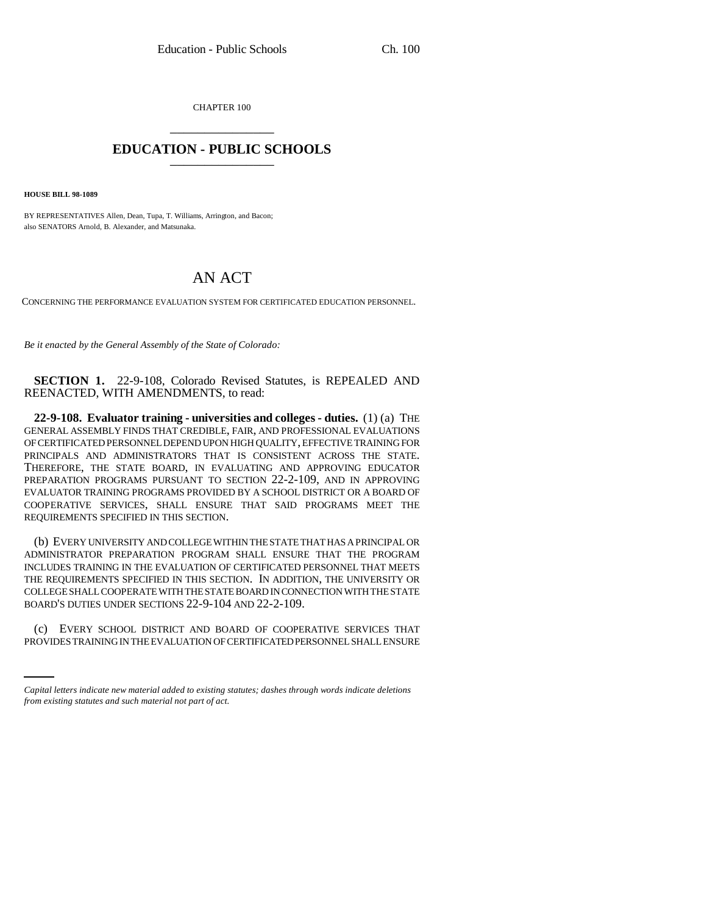CHAPTER 100 \_\_\_\_\_\_\_\_\_\_\_\_\_\_\_

## **EDUCATION - PUBLIC SCHOOLS** \_\_\_\_\_\_\_\_\_\_\_\_\_\_\_

**HOUSE BILL 98-1089**

BY REPRESENTATIVES Allen, Dean, Tupa, T. Williams, Arrington, and Bacon; also SENATORS Arnold, B. Alexander, and Matsunaka.

## AN ACT

CONCERNING THE PERFORMANCE EVALUATION SYSTEM FOR CERTIFICATED EDUCATION PERSONNEL.

*Be it enacted by the General Assembly of the State of Colorado:*

**SECTION 1.** 22-9-108, Colorado Revised Statutes, is REPEALED AND REENACTED, WITH AMENDMENTS, to read:

**22-9-108. Evaluator training - universities and colleges - duties.** (1) (a) THE GENERAL ASSEMBLY FINDS THAT CREDIBLE, FAIR, AND PROFESSIONAL EVALUATIONS OF CERTIFICATED PERSONNEL DEPEND UPON HIGH QUALITY, EFFECTIVE TRAINING FOR PRINCIPALS AND ADMINISTRATORS THAT IS CONSISTENT ACROSS THE STATE. THEREFORE, THE STATE BOARD, IN EVALUATING AND APPROVING EDUCATOR PREPARATION PROGRAMS PURSUANT TO SECTION 22-2-109, AND IN APPROVING EVALUATOR TRAINING PROGRAMS PROVIDED BY A SCHOOL DISTRICT OR A BOARD OF COOPERATIVE SERVICES, SHALL ENSURE THAT SAID PROGRAMS MEET THE REQUIREMENTS SPECIFIED IN THIS SECTION.

(b) EVERY UNIVERSITY AND COLLEGE WITHIN THE STATE THAT HAS A PRINCIPAL OR ADMINISTRATOR PREPARATION PROGRAM SHALL ENSURE THAT THE PROGRAM INCLUDES TRAINING IN THE EVALUATION OF CERTIFICATED PERSONNEL THAT MEETS THE REQUIREMENTS SPECIFIED IN THIS SECTION. IN ADDITION, THE UNIVERSITY OR COLLEGE SHALL COOPERATE WITH THE STATE BOARD IN CONNECTION WITH THE STATE BOARD'S DUTIES UNDER SECTIONS 22-9-104 AND 22-2-109.

(c) EVERY SCHOOL DISTRICT AND BOARD OF COOPERATIVE SERVICES THAT PROVIDES TRAINING IN THE EVALUATION OF CERTIFICATED PERSONNEL SHALL ENSURE

*Capital letters indicate new material added to existing statutes; dashes through words indicate deletions from existing statutes and such material not part of act.*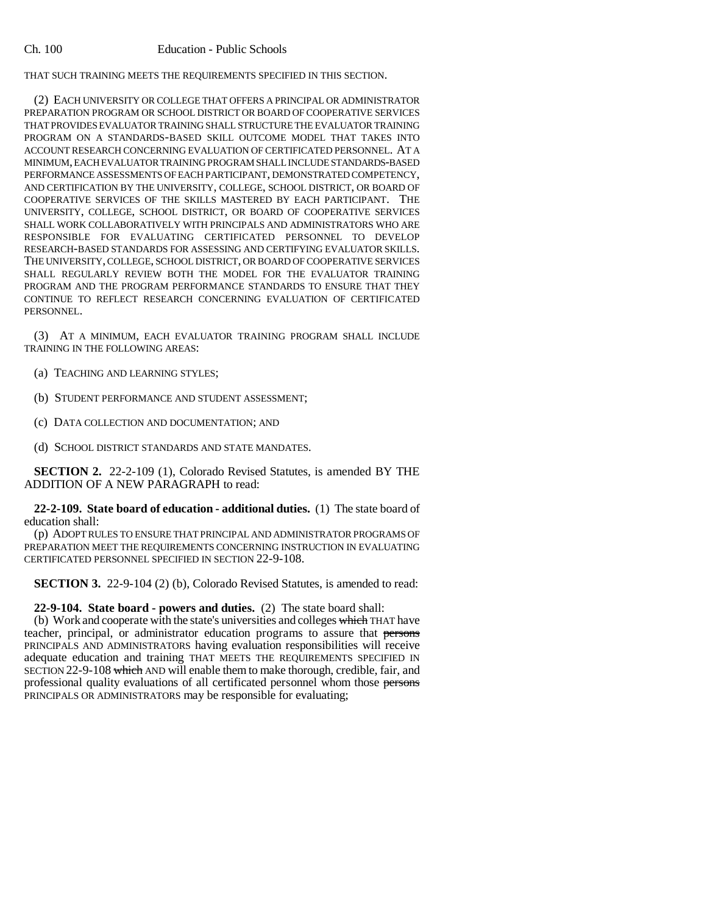THAT SUCH TRAINING MEETS THE REQUIREMENTS SPECIFIED IN THIS SECTION.

(2) EACH UNIVERSITY OR COLLEGE THAT OFFERS A PRINCIPAL OR ADMINISTRATOR PREPARATION PROGRAM OR SCHOOL DISTRICT OR BOARD OF COOPERATIVE SERVICES THAT PROVIDES EVALUATOR TRAINING SHALL STRUCTURE THE EVALUATOR TRAINING PROGRAM ON A STANDARDS-BASED SKILL OUTCOME MODEL THAT TAKES INTO ACCOUNT RESEARCH CONCERNING EVALUATION OF CERTIFICATED PERSONNEL. AT A MINIMUM, EACH EVALUATOR TRAINING PROGRAM SHALL INCLUDE STANDARDS-BASED PERFORMANCE ASSESSMENTS OF EACH PARTICIPANT, DEMONSTRATED COMPETENCY, AND CERTIFICATION BY THE UNIVERSITY, COLLEGE, SCHOOL DISTRICT, OR BOARD OF COOPERATIVE SERVICES OF THE SKILLS MASTERED BY EACH PARTICIPANT. THE UNIVERSITY, COLLEGE, SCHOOL DISTRICT, OR BOARD OF COOPERATIVE SERVICES SHALL WORK COLLABORATIVELY WITH PRINCIPALS AND ADMINISTRATORS WHO ARE RESPONSIBLE FOR EVALUATING CERTIFICATED PERSONNEL TO DEVELOP RESEARCH-BASED STANDARDS FOR ASSESSING AND CERTIFYING EVALUATOR SKILLS. THE UNIVERSITY, COLLEGE, SCHOOL DISTRICT, OR BOARD OF COOPERATIVE SERVICES SHALL REGULARLY REVIEW BOTH THE MODEL FOR THE EVALUATOR TRAINING PROGRAM AND THE PROGRAM PERFORMANCE STANDARDS TO ENSURE THAT THEY CONTINUE TO REFLECT RESEARCH CONCERNING EVALUATION OF CERTIFICATED PERSONNEL.

(3) AT A MINIMUM, EACH EVALUATOR TRAINING PROGRAM SHALL INCLUDE TRAINING IN THE FOLLOWING AREAS:

- (a) TEACHING AND LEARNING STYLES;
- (b) STUDENT PERFORMANCE AND STUDENT ASSESSMENT;
- (c) DATA COLLECTION AND DOCUMENTATION; AND
- (d) SCHOOL DISTRICT STANDARDS AND STATE MANDATES.

**SECTION 2.** 22-2-109 (1), Colorado Revised Statutes, is amended BY THE ADDITION OF A NEW PARAGRAPH to read:

**22-2-109. State board of education - additional duties.** (1) The state board of education shall:

(p) ADOPT RULES TO ENSURE THAT PRINCIPAL AND ADMINISTRATOR PROGRAMS OF PREPARATION MEET THE REQUIREMENTS CONCERNING INSTRUCTION IN EVALUATING CERTIFICATED PERSONNEL SPECIFIED IN SECTION 22-9-108.

**SECTION 3.** 22-9-104 (2) (b), Colorado Revised Statutes, is amended to read:

**22-9-104. State board - powers and duties.** (2) The state board shall:

(b) Work and cooperate with the state's universities and colleges which THAT have teacher, principal, or administrator education programs to assure that persons PRINCIPALS AND ADMINISTRATORS having evaluation responsibilities will receive adequate education and training THAT MEETS THE REQUIREMENTS SPECIFIED IN SECTION 22-9-108 which AND will enable them to make thorough, credible, fair, and professional quality evaluations of all certificated personnel whom those persons PRINCIPALS OR ADMINISTRATORS may be responsible for evaluating;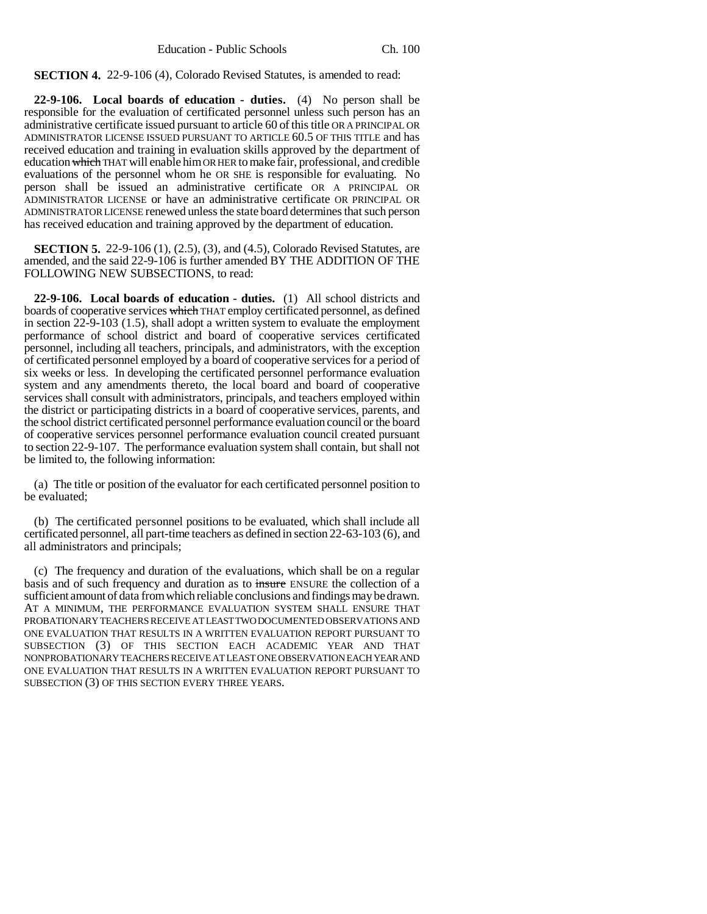**SECTION 4.** 22-9-106 (4), Colorado Revised Statutes, is amended to read:

**22-9-106. Local boards of education - duties.** (4) No person shall be responsible for the evaluation of certificated personnel unless such person has an administrative certificate issued pursuant to article 60 of this title OR A PRINCIPAL OR ADMINISTRATOR LICENSE ISSUED PURSUANT TO ARTICLE 60.5 OF THIS TITLE and has received education and training in evaluation skills approved by the department of education which THAT will enable him OR HER to make fair, professional, and credible evaluations of the personnel whom he OR SHE is responsible for evaluating. No person shall be issued an administrative certificate OR A PRINCIPAL OR ADMINISTRATOR LICENSE or have an administrative certificate OR PRINCIPAL OR ADMINISTRATOR LICENSE renewed unless the state board determines that such person has received education and training approved by the department of education.

**SECTION 5.** 22-9-106 (1), (2.5), (3), and (4.5), Colorado Revised Statutes, are amended, and the said 22-9-106 is further amended BY THE ADDITION OF THE FOLLOWING NEW SUBSECTIONS, to read:

**22-9-106. Local boards of education - duties.** (1) All school districts and boards of cooperative services which THAT employ certificated personnel, as defined in section 22-9-103 (1.5), shall adopt a written system to evaluate the employment performance of school district and board of cooperative services certificated personnel, including all teachers, principals, and administrators, with the exception of certificated personnel employed by a board of cooperative services for a period of six weeks or less. In developing the certificated personnel performance evaluation system and any amendments thereto, the local board and board of cooperative services shall consult with administrators, principals, and teachers employed within the district or participating districts in a board of cooperative services, parents, and the school district certificated personnel performance evaluation council or the board of cooperative services personnel performance evaluation council created pursuant to section 22-9-107. The performance evaluation system shall contain, but shall not be limited to, the following information:

(a) The title or position of the evaluator for each certificated personnel position to be evaluated;

(b) The certificated personnel positions to be evaluated, which shall include all certificated personnel, all part-time teachers as defined in section 22-63-103 (6), and all administrators and principals;

(c) The frequency and duration of the evaluations, which shall be on a regular basis and of such frequency and duration as to insure ENSURE the collection of a sufficient amount of data from which reliable conclusions and findings may be drawn. AT A MINIMUM, THE PERFORMANCE EVALUATION SYSTEM SHALL ENSURE THAT PROBATIONARY TEACHERS RECEIVE AT LEAST TWO DOCUMENTED OBSERVATIONS AND ONE EVALUATION THAT RESULTS IN A WRITTEN EVALUATION REPORT PURSUANT TO SUBSECTION (3) OF THIS SECTION EACH ACADEMIC YEAR AND THAT NONPROBATIONARY TEACHERS RECEIVE AT LEAST ONE OBSERVATION EACH YEAR AND ONE EVALUATION THAT RESULTS IN A WRITTEN EVALUATION REPORT PURSUANT TO SUBSECTION (3) OF THIS SECTION EVERY THREE YEARS.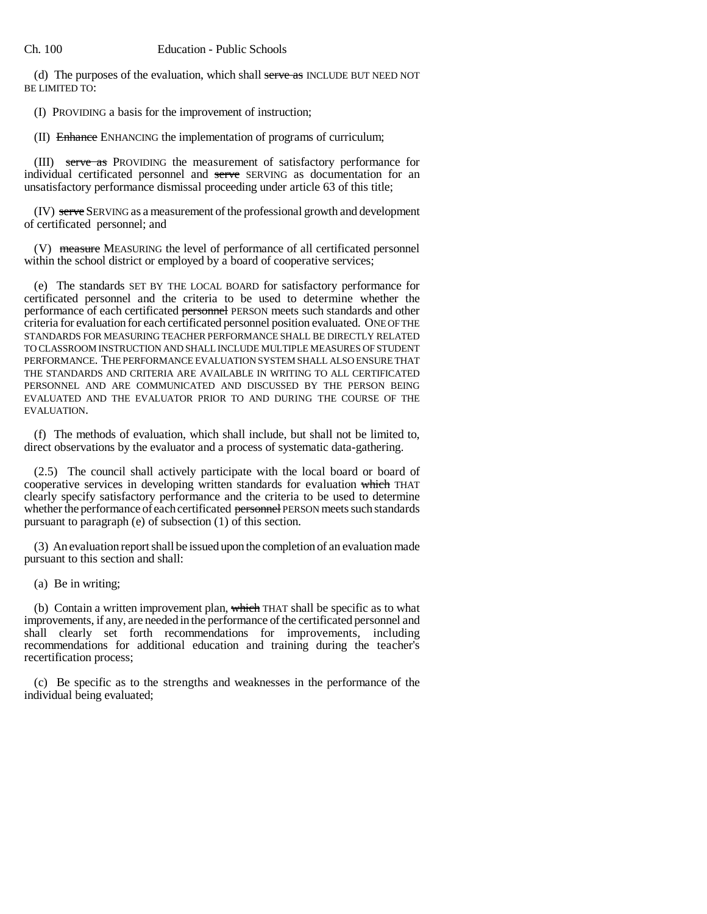(d) The purposes of the evaluation, which shall serve as INCLUDE BUT NEED NOT BE LIMITED TO:

(I) PROVIDING a basis for the improvement of instruction;

(II) Enhance ENHANCING the implementation of programs of curriculum;

(III) serve as PROVIDING the measurement of satisfactory performance for individual certificated personnel and serve SERVING as documentation for an unsatisfactory performance dismissal proceeding under article 63 of this title;

(IV) serve SERVING as a measurement of the professional growth and development of certificated personnel; and

(V) measure MEASURING the level of performance of all certificated personnel within the school district or employed by a board of cooperative services;

(e) The standards SET BY THE LOCAL BOARD for satisfactory performance for certificated personnel and the criteria to be used to determine whether the performance of each certificated personnel PERSON meets such standards and other criteria for evaluation for each certificated personnel position evaluated. ONE OF THE STANDARDS FOR MEASURING TEACHER PERFORMANCE SHALL BE DIRECTLY RELATED TO CLASSROOM INSTRUCTION AND SHALL INCLUDE MULTIPLE MEASURES OF STUDENT PERFORMANCE. THE PERFORMANCE EVALUATION SYSTEM SHALL ALSO ENSURE THAT THE STANDARDS AND CRITERIA ARE AVAILABLE IN WRITING TO ALL CERTIFICATED PERSONNEL AND ARE COMMUNICATED AND DISCUSSED BY THE PERSON BEING EVALUATED AND THE EVALUATOR PRIOR TO AND DURING THE COURSE OF THE EVALUATION.

(f) The methods of evaluation, which shall include, but shall not be limited to, direct observations by the evaluator and a process of systematic data-gathering.

(2.5) The council shall actively participate with the local board or board of cooperative services in developing written standards for evaluation which THAT clearly specify satisfactory performance and the criteria to be used to determine whether the performance of each certificated personnel PERSON meets such standards pursuant to paragraph (e) of subsection (1) of this section.

(3) An evaluation report shall be issued upon the completion of an evaluation made pursuant to this section and shall:

(a) Be in writing;

(b) Contain a written improvement plan, which THAT shall be specific as to what improvements, if any, are needed in the performance of the certificated personnel and shall clearly set forth recommendations for improvements, including recommendations for additional education and training during the teacher's recertification process;

(c) Be specific as to the strengths and weaknesses in the performance of the individual being evaluated;